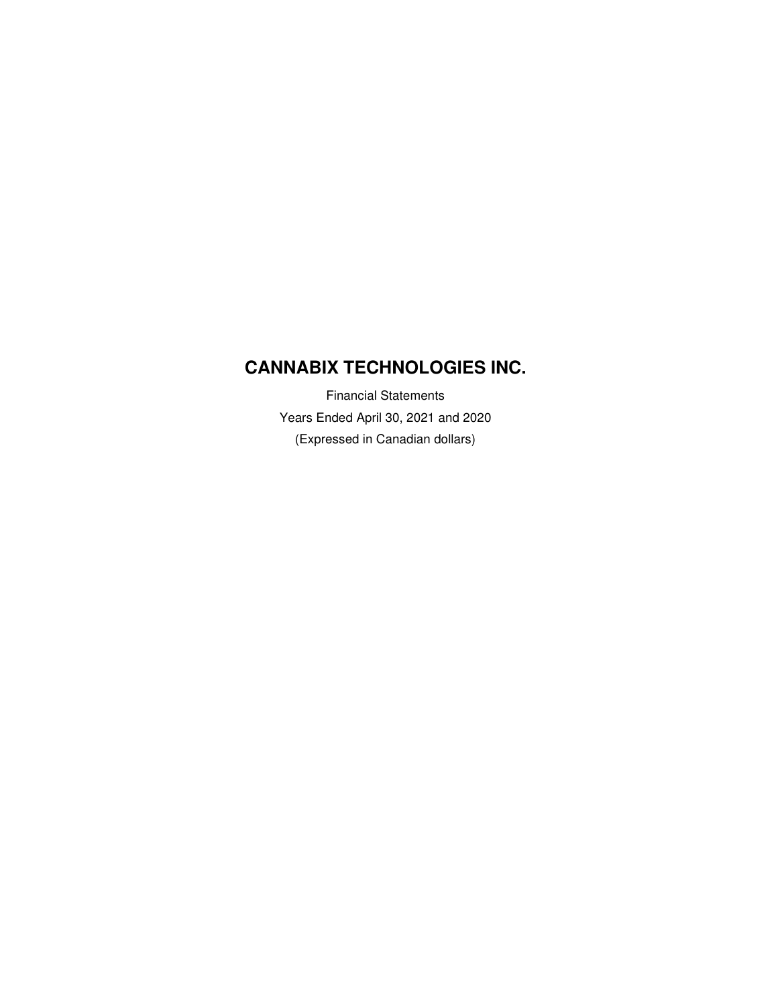Financial Statements Years Ended April 30, 2021 and 2020 (Expressed in Canadian dollars)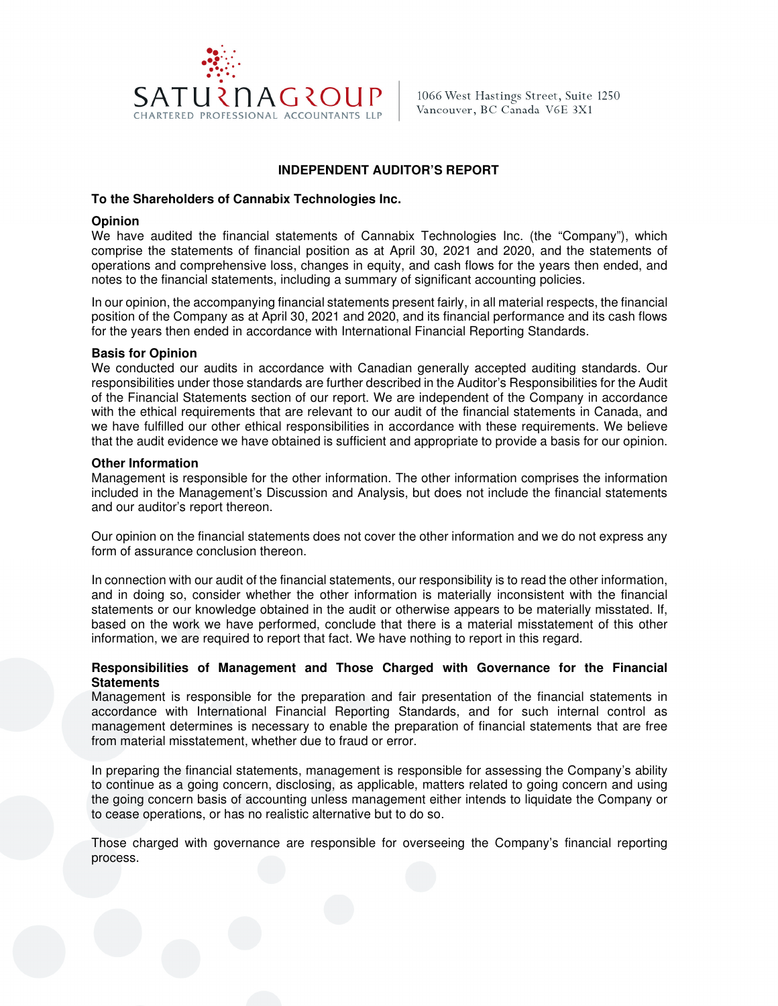

### **INDEPENDENT AUDITOR'S REPORT**

#### **To the Shareholders of Cannabix Technologies Inc.**

#### **Opinion**

We have audited the financial statements of Cannabix Technologies Inc. (the "Company"), which comprise the statements of financial position as at April 30, 2021 and 2020, and the statements of operations and comprehensive loss, changes in equity, and cash flows for the years then ended, and notes to the financial statements, including a summary of significant accounting policies.

In our opinion, the accompanying financial statements present fairly, in all material respects, the financial position of the Company as at April 30, 2021 and 2020, and its financial performance and its cash flows for the years then ended in accordance with International Financial Reporting Standards.

#### **Basis for Opinion**

We conducted our audits in accordance with Canadian generally accepted auditing standards. Our responsibilities under those standards are further described in the Auditor's Responsibilities for the Audit of the Financial Statements section of our report. We are independent of the Company in accordance with the ethical requirements that are relevant to our audit of the financial statements in Canada, and we have fulfilled our other ethical responsibilities in accordance with these requirements. We believe that the audit evidence we have obtained is sufficient and appropriate to provide a basis for our opinion.

#### **Other Information**

Management is responsible for the other information. The other information comprises the information included in the Management's Discussion and Analysis, but does not include the financial statements and our auditor's report thereon.

Our opinion on the financial statements does not cover the other information and we do not express any form of assurance conclusion thereon.

In connection with our audit of the financial statements, our responsibility is to read the other information, and in doing so, consider whether the other information is materially inconsistent with the financial statements or our knowledge obtained in the audit or otherwise appears to be materially misstated. If, based on the work we have performed, conclude that there is a material misstatement of this other information, we are required to report that fact. We have nothing to report in this regard.

#### **Responsibilities of Management and Those Charged with Governance for the Financial Statements**

Management is responsible for the preparation and fair presentation of the financial statements in accordance with International Financial Reporting Standards, and for such internal control as management determines is necessary to enable the preparation of financial statements that are free from material misstatement, whether due to fraud or error.

In preparing the financial statements, management is responsible for assessing the Company's ability to continue as a going concern, disclosing, as applicable, matters related to going concern and using the going concern basis of accounting unless management either intends to liquidate the Company or to cease operations, or has no realistic alternative but to do so.

Those charged with governance are responsible for overseeing the Company's financial reporting process.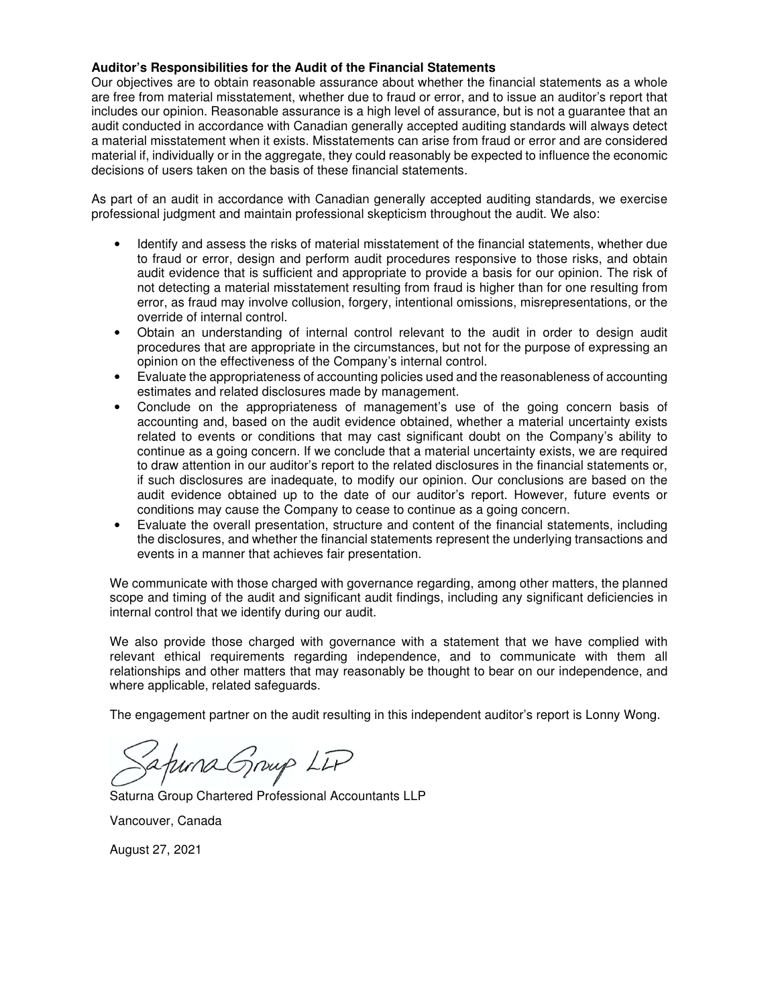### **Auditor's Responsibilities for the Audit of the Financial Statements**

Our objectives are to obtain reasonable assurance about whether the financial statements as a whole are free from material misstatement, whether due to fraud or error, and to issue an auditor's report that includes our opinion. Reasonable assurance is a high level of assurance, but is not a guarantee that an audit conducted in accordance with Canadian generally accepted auditing standards will always detect a material misstatement when it exists. Misstatements can arise from fraud or error and are considered material if, individually or in the aggregate, they could reasonably be expected to influence the economic decisions of users taken on the basis of these financial statements.

As part of an audit in accordance with Canadian generally accepted auditing standards, we exercise professional judgment and maintain professional skepticism throughout the audit. We also:

- Identify and assess the risks of material misstatement of the financial statements, whether due to fraud or error, design and perform audit procedures responsive to those risks, and obtain audit evidence that is sufficient and appropriate to provide a basis for our opinion. The risk of not detecting a material misstatement resulting from fraud is higher than for one resulting from error, as fraud may involve collusion, forgery, intentional omissions, misrepresentations, or the override of internal control.
- Obtain an understanding of internal control relevant to the audit in order to design audit procedures that are appropriate in the circumstances, but not for the purpose of expressing an opinion on the effectiveness of the Company's internal control.
- Evaluate the appropriateness of accounting policies used and the reasonableness of accounting estimates and related disclosures made by management.
- Conclude on the appropriateness of management's use of the going concern basis of accounting and, based on the audit evidence obtained, whether a material uncertainty exists related to events or conditions that may cast significant doubt on the Company's ability to continue as a going concern. If we conclude that a material uncertainty exists, we are required to draw attention in our auditor's report to the related disclosures in the financial statements or, if such disclosures are inadequate, to modify our opinion. Our conclusions are based on the audit evidence obtained up to the date of our auditor's report. However, future events or conditions may cause the Company to cease to continue as a going concern.
- Evaluate the overall presentation, structure and content of the financial statements, including the disclosures, and whether the financial statements represent the underlying transactions and events in a manner that achieves fair presentation.

We communicate with those charged with governance regarding, among other matters, the planned scope and timing of the audit and significant audit findings, including any significant deficiencies in internal control that we identify during our audit.

We also provide those charged with governance with a statement that we have complied with relevant ethical requirements regarding independence, and to communicate with them all relationships and other matters that may reasonably be thought to bear on our independence, and where applicable, related safeguards.

The engagement partner on the audit resulting in this independent auditor's report is Lonny Wong.

tuna Group LIP

Saturna Group Chartered Professional Accountants LLP

Vancouver, Canada

August 27, 2021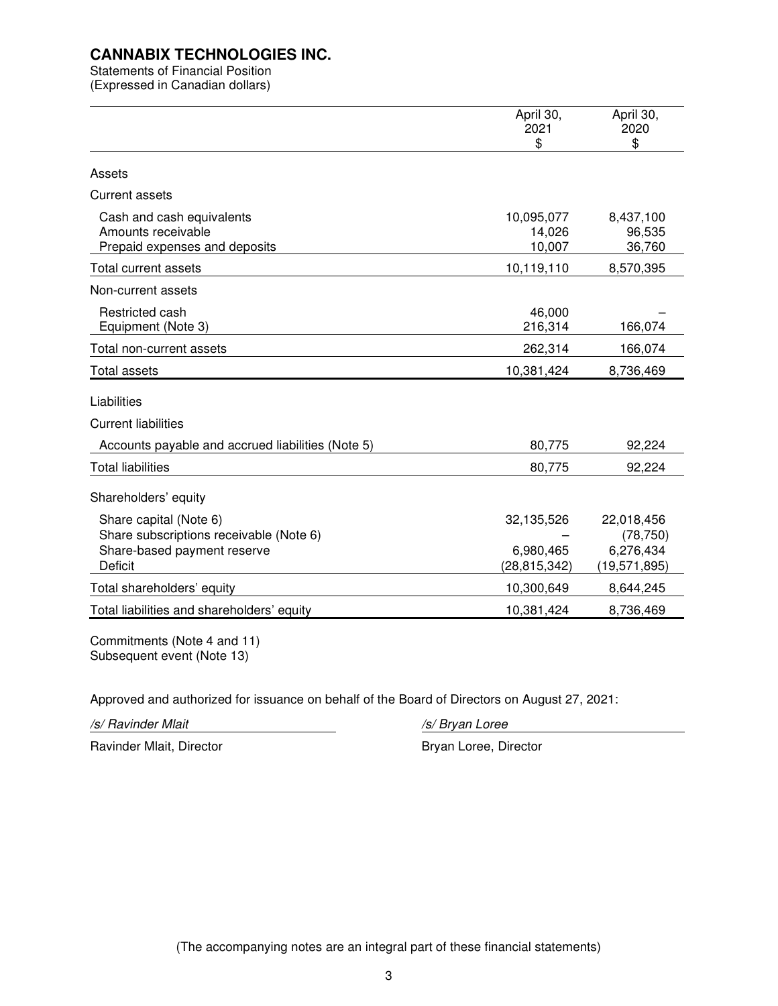Statements of Financial Position (Expressed in Canadian dollars)

|                                                                                                                    | April 30,                                 | April 30,                                            |
|--------------------------------------------------------------------------------------------------------------------|-------------------------------------------|------------------------------------------------------|
|                                                                                                                    | 2021<br>\$                                | 2020<br>\$                                           |
| Assets                                                                                                             |                                           |                                                      |
| <b>Current assets</b>                                                                                              |                                           |                                                      |
| Cash and cash equivalents<br>Amounts receivable<br>Prepaid expenses and deposits                                   | 10,095,077<br>14,026<br>10,007            | 8,437,100<br>96,535<br>36,760                        |
| Total current assets                                                                                               | 10,119,110                                | 8,570,395                                            |
| Non-current assets                                                                                                 |                                           |                                                      |
| Restricted cash<br>Equipment (Note 3)                                                                              | 46,000<br>216,314                         | 166,074                                              |
| Total non-current assets                                                                                           | 262,314                                   | 166,074                                              |
| Total assets                                                                                                       | 10,381,424                                | 8,736,469                                            |
| Liabilities                                                                                                        |                                           |                                                      |
| <b>Current liabilities</b>                                                                                         |                                           |                                                      |
| Accounts payable and accrued liabilities (Note 5)                                                                  | 80,775                                    | 92,224                                               |
| <b>Total liabilities</b>                                                                                           | 80,775                                    | 92,224                                               |
| Shareholders' equity                                                                                               |                                           |                                                      |
| Share capital (Note 6)<br>Share subscriptions receivable (Note 6)<br>Share-based payment reserve<br><b>Deficit</b> | 32,135,526<br>6,980,465<br>(28, 815, 342) | 22,018,456<br>(78, 750)<br>6,276,434<br>(19,571,895) |
| Total shareholders' equity                                                                                         | 10,300,649                                | 8,644,245                                            |
| Total liabilities and shareholders' equity                                                                         | 10,381,424                                | 8,736,469                                            |
|                                                                                                                    |                                           |                                                      |

Commitments (Note 4 and 11) Subsequent event (Note 13)

Approved and authorized for issuance on behalf of the Board of Directors on August 27, 2021:

/s/ Ravinder Mlait /s/ Bryan Loree

Ravinder Mlait, Director **Bryan Loree**, Director **Bryan Loree**, Director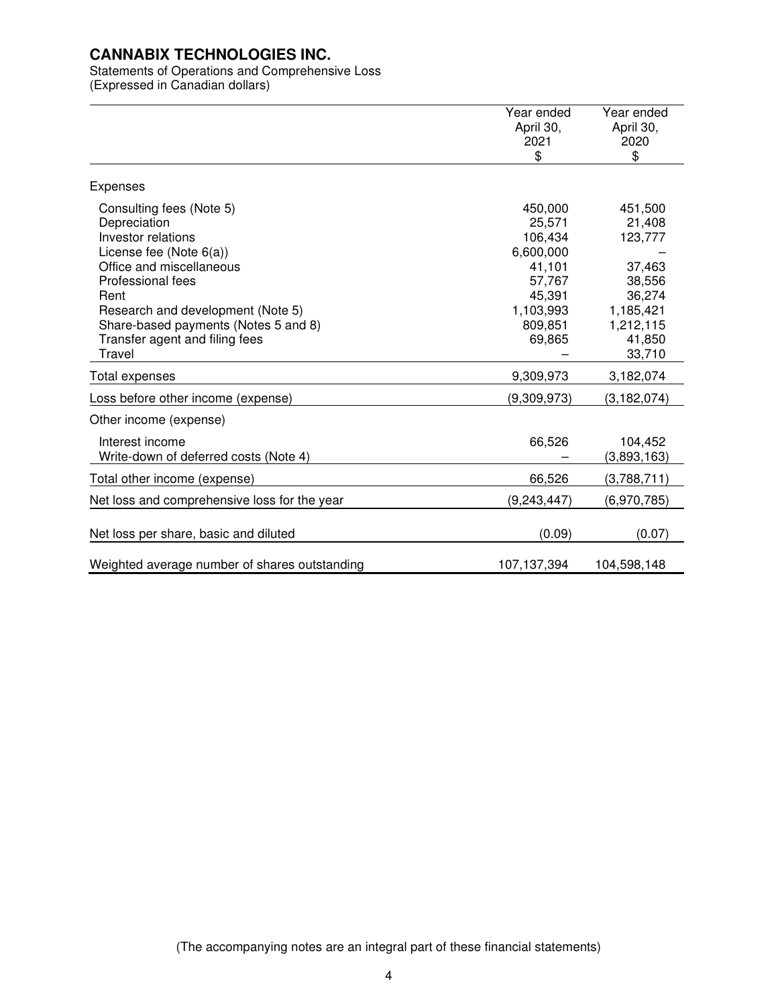# Statements of Operations and Comprehensive Loss

(Expressed in Canadian dollars)

|                                                                                                                                                                                                                                                                                    | Year ended<br>April 30,<br>2021                                                                           | Year ended<br>April 30,<br>2020                                                                          |
|------------------------------------------------------------------------------------------------------------------------------------------------------------------------------------------------------------------------------------------------------------------------------------|-----------------------------------------------------------------------------------------------------------|----------------------------------------------------------------------------------------------------------|
|                                                                                                                                                                                                                                                                                    | \$                                                                                                        | \$                                                                                                       |
| Expenses                                                                                                                                                                                                                                                                           |                                                                                                           |                                                                                                          |
| Consulting fees (Note 5)<br>Depreciation<br>Investor relations<br>License fee (Note 6(a))<br>Office and miscellaneous<br>Professional fees<br>Rent<br>Research and development (Note 5)<br>Share-based payments (Notes 5 and 8)<br>Transfer agent and filing fees<br><b>Travel</b> | 450,000<br>25,571<br>106,434<br>6,600,000<br>41,101<br>57,767<br>45,391<br>1,103,993<br>809,851<br>69,865 | 451,500<br>21,408<br>123,777<br>37,463<br>38,556<br>36,274<br>1,185,421<br>1,212,115<br>41,850<br>33,710 |
| Total expenses                                                                                                                                                                                                                                                                     | 9,309,973                                                                                                 | 3,182,074                                                                                                |
| Loss before other income (expense)                                                                                                                                                                                                                                                 | (9,309,973)                                                                                               | (3, 182, 074)                                                                                            |
| Other income (expense)                                                                                                                                                                                                                                                             |                                                                                                           |                                                                                                          |
| Interest income<br>Write-down of deferred costs (Note 4)                                                                                                                                                                                                                           | 66,526                                                                                                    | 104,452<br>(3,893,163)                                                                                   |
| Total other income (expense)                                                                                                                                                                                                                                                       | 66,526                                                                                                    | (3,788,711)                                                                                              |
| Net loss and comprehensive loss for the year                                                                                                                                                                                                                                       | (9, 243, 447)                                                                                             | (6,970,785)                                                                                              |
| Net loss per share, basic and diluted                                                                                                                                                                                                                                              | (0.09)                                                                                                    | (0.07)                                                                                                   |
| Weighted average number of shares outstanding                                                                                                                                                                                                                                      | 107,137,394                                                                                               | 104,598,148                                                                                              |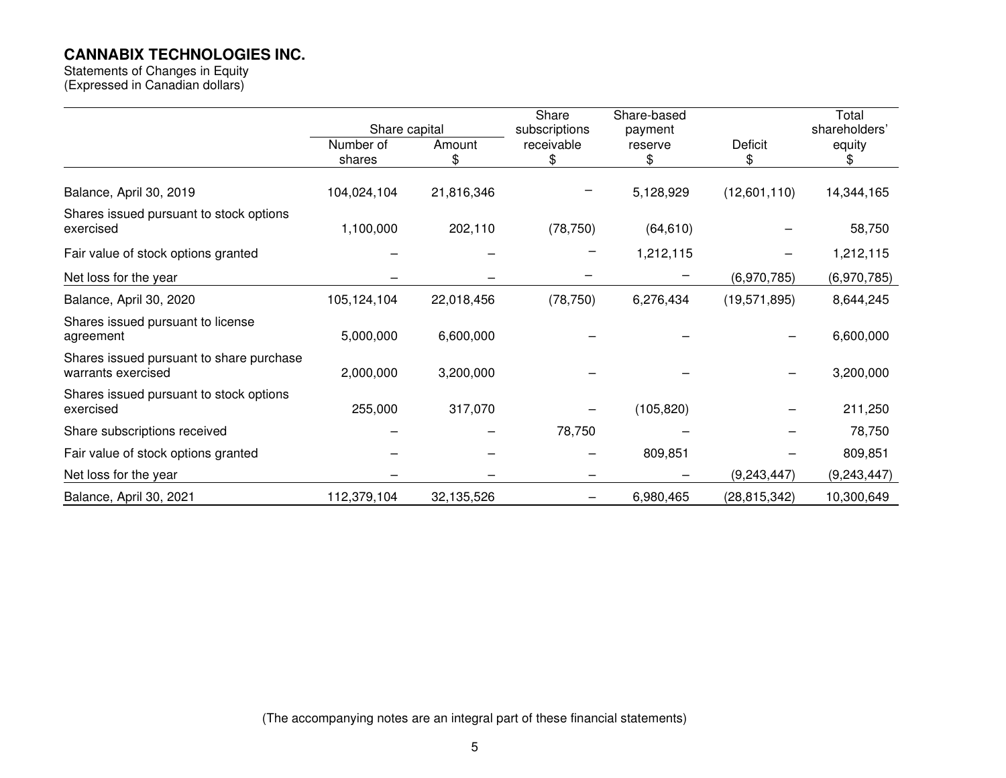Statements of Changes in Equity (Expressed in Canadian dollars)

|                                                                |                                      |              | Share                             | Share-based              |                | Total                        |
|----------------------------------------------------------------|--------------------------------------|--------------|-----------------------------------|--------------------------|----------------|------------------------------|
|                                                                | Share capital<br>Number of<br>shares | Amount<br>\$ | subscriptions<br>receivable<br>\$ | payment<br>reserve<br>\$ | Deficit<br>\$  | shareholders'<br>equity<br>Ъ |
| Balance, April 30, 2019                                        | 104,024,104                          | 21,816,346   |                                   | 5,128,929                | (12,601,110)   | 14,344,165                   |
| Shares issued pursuant to stock options<br>exercised           | 1,100,000                            | 202,110      | (78, 750)                         | (64, 610)                |                | 58,750                       |
| Fair value of stock options granted                            |                                      |              |                                   | 1,212,115                |                | 1,212,115                    |
| Net loss for the year                                          |                                      |              |                                   |                          | (6,970,785)    | (6,970,785)                  |
| Balance, April 30, 2020                                        | 105,124,104                          | 22,018,456   | (78, 750)                         | 6,276,434                | (19,571,895)   | 8,644,245                    |
| Shares issued pursuant to license<br>agreement                 | 5,000,000                            | 6,600,000    |                                   |                          |                | 6,600,000                    |
| Shares issued pursuant to share purchase<br>warrants exercised | 2,000,000                            | 3,200,000    |                                   |                          |                | 3,200,000                    |
| Shares issued pursuant to stock options<br>exercised           | 255,000                              | 317,070      |                                   | (105, 820)               |                | 211,250                      |
| Share subscriptions received                                   |                                      |              | 78,750                            |                          |                | 78,750                       |
| Fair value of stock options granted                            |                                      |              |                                   | 809,851                  |                | 809,851                      |
| Net loss for the year                                          |                                      |              |                                   |                          | (9, 243, 447)  | (9, 243, 447)                |
| Balance, April 30, 2021                                        | 112,379,104                          | 32,135,526   |                                   | 6,980,465                | (28, 815, 342) | 10,300,649                   |

(The accompanying notes are an integral part of these financial statements)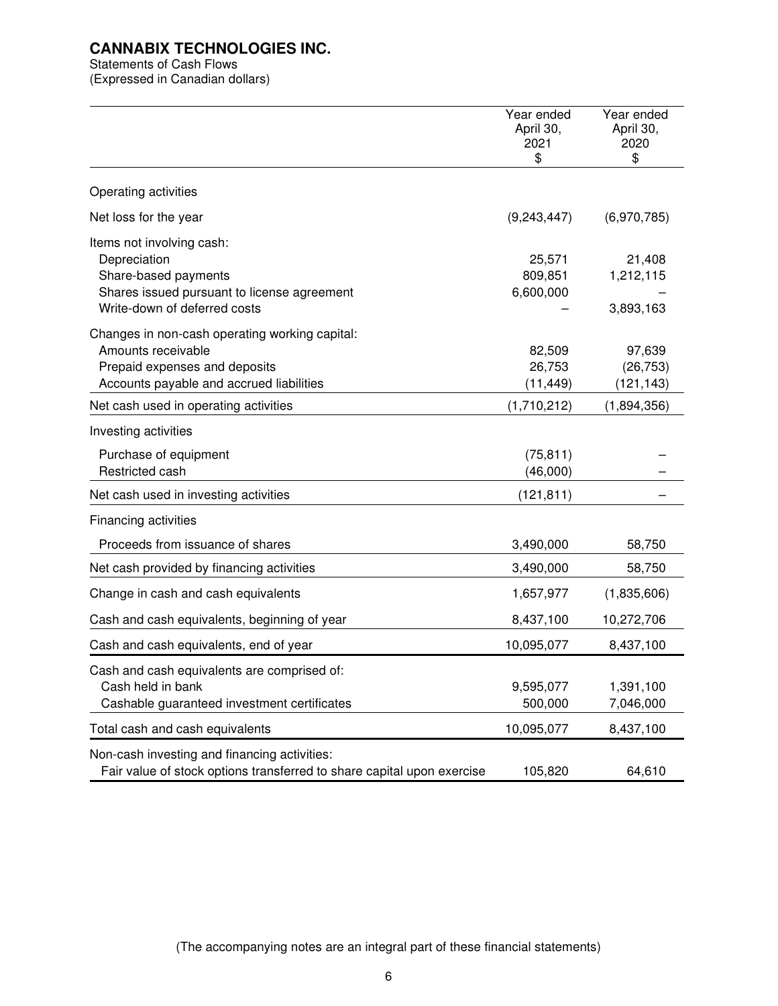Statements of Cash Flows (Expressed in Canadian dollars)

|                                                                                                                                                   | Year ended<br>April 30,<br>2021<br>\$ | Year ended<br>April 30,<br>2020<br>\$ |
|---------------------------------------------------------------------------------------------------------------------------------------------------|---------------------------------------|---------------------------------------|
| Operating activities                                                                                                                              |                                       |                                       |
| Net loss for the year                                                                                                                             | (9, 243, 447)                         | (6,970,785)                           |
| Items not involving cash:<br>Depreciation<br>Share-based payments<br>Shares issued pursuant to license agreement<br>Write-down of deferred costs  | 25,571<br>809,851<br>6,600,000        | 21,408<br>1,212,115<br>3,893,163      |
| Changes in non-cash operating working capital:<br>Amounts receivable<br>Prepaid expenses and deposits<br>Accounts payable and accrued liabilities | 82,509<br>26,753<br>(11, 449)         | 97,639<br>(26, 753)<br>(121, 143)     |
| Net cash used in operating activities                                                                                                             | (1,710,212)                           | (1,894,356)                           |
| Investing activities                                                                                                                              |                                       |                                       |
| Purchase of equipment<br><b>Restricted cash</b>                                                                                                   | (75, 811)<br>(46,000)                 |                                       |
| Net cash used in investing activities                                                                                                             | (121, 811)                            |                                       |
| Financing activities                                                                                                                              |                                       |                                       |
| Proceeds from issuance of shares                                                                                                                  | 3,490,000                             | 58,750                                |
| Net cash provided by financing activities                                                                                                         | 3,490,000                             | 58,750                                |
| Change in cash and cash equivalents                                                                                                               | 1,657,977                             | (1,835,606)                           |
| Cash and cash equivalents, beginning of year                                                                                                      | 8,437,100                             | 10,272,706                            |
| Cash and cash equivalents, end of year                                                                                                            | 10,095,077                            | 8,437,100                             |
| Cash and cash equivalents are comprised of:<br>Cash held in bank<br>Cashable guaranteed investment certificates                                   | 9,595,077<br>500,000                  | 1,391,100<br>7,046,000                |
| Total cash and cash equivalents                                                                                                                   | 10,095,077                            | 8,437,100                             |
| Non-cash investing and financing activities:<br>Fair value of stock options transferred to share capital upon exercise                            | 105,820                               | 64,610                                |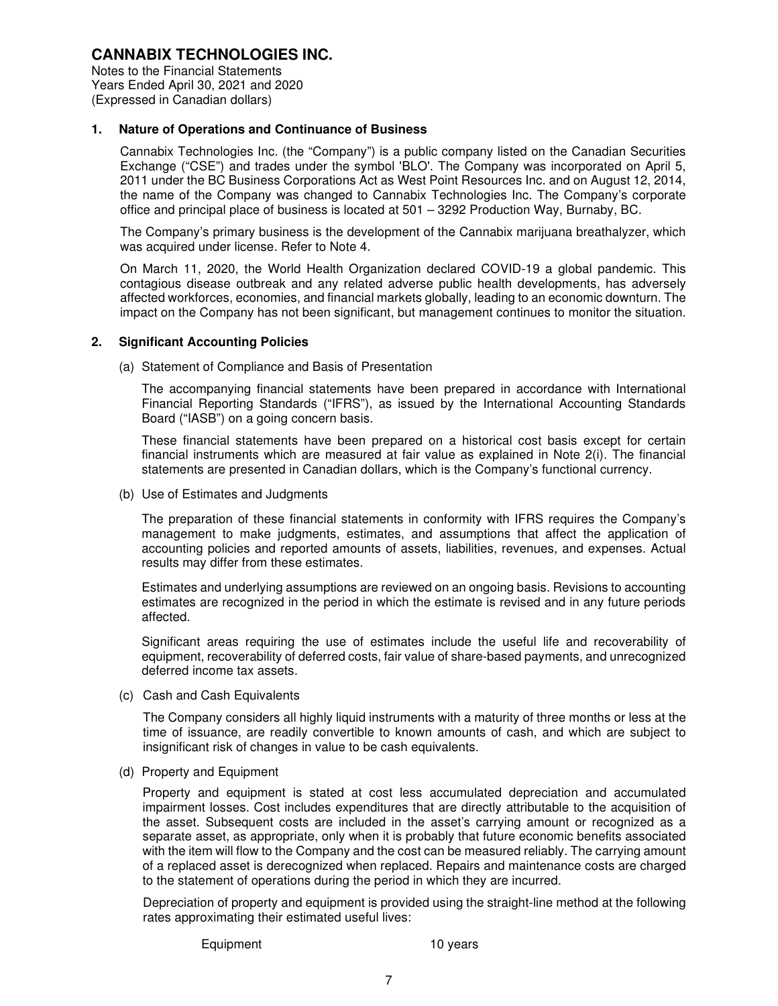Notes to the Financial Statements Years Ended April 30, 2021 and 2020 (Expressed in Canadian dollars)

### **1. Nature of Operations and Continuance of Business**

Cannabix Technologies Inc. (the "Company") is a public company listed on the Canadian Securities Exchange ("CSE") and trades under the symbol 'BLO'. The Company was incorporated on April 5, 2011 under the BC Business Corporations Act as West Point Resources Inc. and on August 12, 2014, the name of the Company was changed to Cannabix Technologies Inc. The Company's corporate office and principal place of business is located at 501 – 3292 Production Way, Burnaby, BC.

The Company's primary business is the development of the Cannabix marijuana breathalyzer, which was acquired under license. Refer to Note 4.

On March 11, 2020, the World Health Organization declared COVID-19 a global pandemic. This contagious disease outbreak and any related adverse public health developments, has adversely affected workforces, economies, and financial markets globally, leading to an economic downturn. The impact on the Company has not been significant, but management continues to monitor the situation.

### **2. Significant Accounting Policies**

(a) Statement of Compliance and Basis of Presentation

The accompanying financial statements have been prepared in accordance with International Financial Reporting Standards ("IFRS"), as issued by the International Accounting Standards Board ("IASB") on a going concern basis.

These financial statements have been prepared on a historical cost basis except for certain financial instruments which are measured at fair value as explained in Note 2(i). The financial statements are presented in Canadian dollars, which is the Company's functional currency.

(b) Use of Estimates and Judgments

The preparation of these financial statements in conformity with IFRS requires the Company's management to make judgments, estimates, and assumptions that affect the application of accounting policies and reported amounts of assets, liabilities, revenues, and expenses. Actual results may differ from these estimates.

Estimates and underlying assumptions are reviewed on an ongoing basis. Revisions to accounting estimates are recognized in the period in which the estimate is revised and in any future periods affected.

Significant areas requiring the use of estimates include the useful life and recoverability of equipment, recoverability of deferred costs, fair value of share-based payments, and unrecognized deferred income tax assets.

(c) Cash and Cash Equivalents

 The Company considers all highly liquid instruments with a maturity of three months or less at the time of issuance, are readily convertible to known amounts of cash, and which are subject to insignificant risk of changes in value to be cash equivalents.

(d) Property and Equipment

Property and equipment is stated at cost less accumulated depreciation and accumulated impairment losses. Cost includes expenditures that are directly attributable to the acquisition of the asset. Subsequent costs are included in the asset's carrying amount or recognized as a separate asset, as appropriate, only when it is probably that future economic benefits associated with the item will flow to the Company and the cost can be measured reliably. The carrying amount of a replaced asset is derecognized when replaced. Repairs and maintenance costs are charged to the statement of operations during the period in which they are incurred.

Depreciation of property and equipment is provided using the straight-line method at the following rates approximating their estimated useful lives:

Equipment 10 years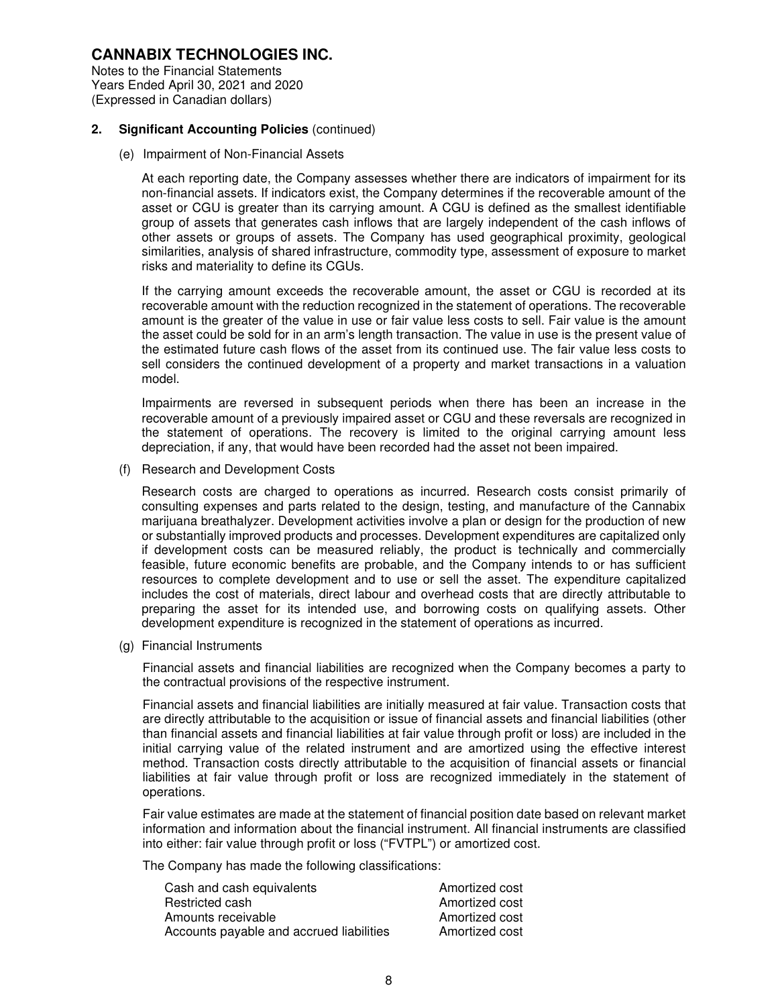Notes to the Financial Statements Years Ended April 30, 2021 and 2020 (Expressed in Canadian dollars)

### **2. Significant Accounting Policies** (continued)

(e) Impairment of Non-Financial Assets

At each reporting date, the Company assesses whether there are indicators of impairment for its non-financial assets. If indicators exist, the Company determines if the recoverable amount of the asset or CGU is greater than its carrying amount. A CGU is defined as the smallest identifiable group of assets that generates cash inflows that are largely independent of the cash inflows of other assets or groups of assets. The Company has used geographical proximity, geological similarities, analysis of shared infrastructure, commodity type, assessment of exposure to market risks and materiality to define its CGUs.

If the carrying amount exceeds the recoverable amount, the asset or CGU is recorded at its recoverable amount with the reduction recognized in the statement of operations. The recoverable amount is the greater of the value in use or fair value less costs to sell. Fair value is the amount the asset could be sold for in an arm's length transaction. The value in use is the present value of the estimated future cash flows of the asset from its continued use. The fair value less costs to sell considers the continued development of a property and market transactions in a valuation model.

Impairments are reversed in subsequent periods when there has been an increase in the recoverable amount of a previously impaired asset or CGU and these reversals are recognized in the statement of operations. The recovery is limited to the original carrying amount less depreciation, if any, that would have been recorded had the asset not been impaired.

(f) Research and Development Costs

 Research costs are charged to operations as incurred. Research costs consist primarily of consulting expenses and parts related to the design, testing, and manufacture of the Cannabix marijuana breathalyzer. Development activities involve a plan or design for the production of new or substantially improved products and processes. Development expenditures are capitalized only if development costs can be measured reliably, the product is technically and commercially feasible, future economic benefits are probable, and the Company intends to or has sufficient resources to complete development and to use or sell the asset. The expenditure capitalized includes the cost of materials, direct labour and overhead costs that are directly attributable to preparing the asset for its intended use, and borrowing costs on qualifying assets. Other development expenditure is recognized in the statement of operations as incurred.

(g) Financial Instruments

Financial assets and financial liabilities are recognized when the Company becomes a party to the contractual provisions of the respective instrument.

Financial assets and financial liabilities are initially measured at fair value. Transaction costs that are directly attributable to the acquisition or issue of financial assets and financial liabilities (other than financial assets and financial liabilities at fair value through profit or loss) are included in the initial carrying value of the related instrument and are amortized using the effective interest method. Transaction costs directly attributable to the acquisition of financial assets or financial liabilities at fair value through profit or loss are recognized immediately in the statement of operations.

Fair value estimates are made at the statement of financial position date based on relevant market information and information about the financial instrument. All financial instruments are classified into either: fair value through profit or loss ("FVTPL") or amortized cost.

The Company has made the following classifications:

| Cash and cash equivalents                | Amortized cost |
|------------------------------------------|----------------|
| Restricted cash                          | Amortized cost |
| Amounts receivable                       | Amortized cost |
| Accounts payable and accrued liabilities | Amortized cost |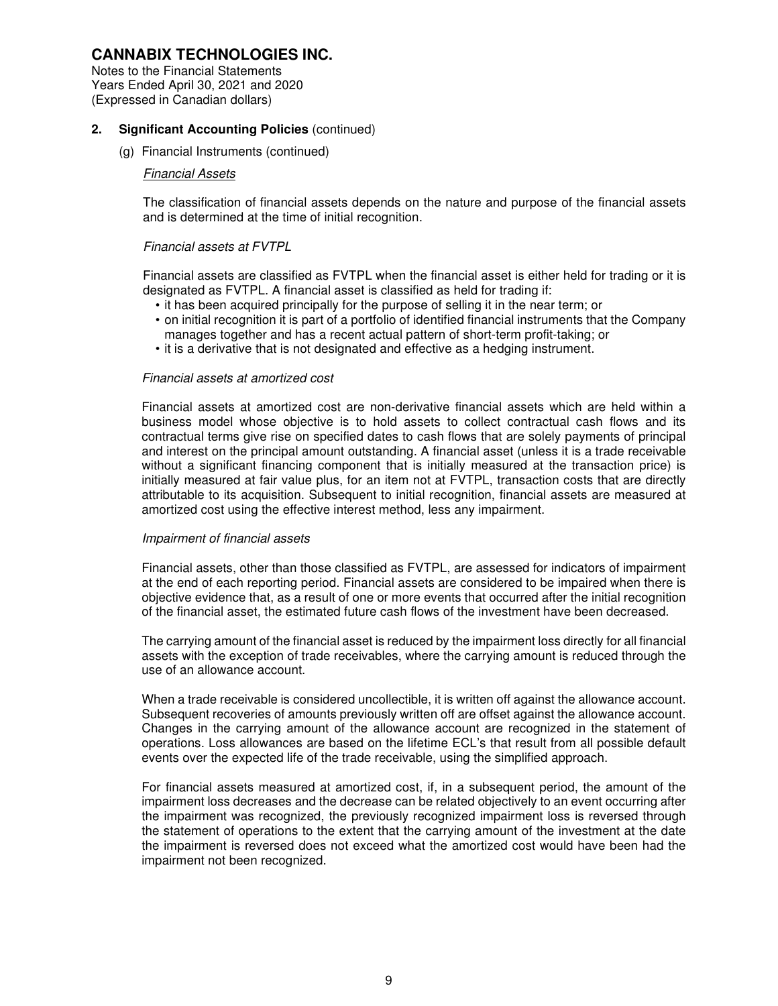Notes to the Financial Statements Years Ended April 30, 2021 and 2020 (Expressed in Canadian dollars)

### **2. Significant Accounting Policies** (continued)

(g) Financial Instruments (continued)

### Financial Assets

The classification of financial assets depends on the nature and purpose of the financial assets and is determined at the time of initial recognition.

### Financial assets at FVTPL

Financial assets are classified as FVTPL when the financial asset is either held for trading or it is designated as FVTPL. A financial asset is classified as held for trading if:

- it has been acquired principally for the purpose of selling it in the near term; or
- on initial recognition it is part of a portfolio of identified financial instruments that the Company manages together and has a recent actual pattern of short-term profit-taking; or
- it is a derivative that is not designated and effective as a hedging instrument.

#### Financial assets at amortized cost

Financial assets at amortized cost are non-derivative financial assets which are held within a business model whose objective is to hold assets to collect contractual cash flows and its contractual terms give rise on specified dates to cash flows that are solely payments of principal and interest on the principal amount outstanding. A financial asset (unless it is a trade receivable without a significant financing component that is initially measured at the transaction price) is initially measured at fair value plus, for an item not at FVTPL, transaction costs that are directly attributable to its acquisition. Subsequent to initial recognition, financial assets are measured at amortized cost using the effective interest method, less any impairment.

#### Impairment of financial assets

Financial assets, other than those classified as FVTPL, are assessed for indicators of impairment at the end of each reporting period. Financial assets are considered to be impaired when there is objective evidence that, as a result of one or more events that occurred after the initial recognition of the financial asset, the estimated future cash flows of the investment have been decreased.

The carrying amount of the financial asset is reduced by the impairment loss directly for all financial assets with the exception of trade receivables, where the carrying amount is reduced through the use of an allowance account.

When a trade receivable is considered uncollectible, it is written off against the allowance account. Subsequent recoveries of amounts previously written off are offset against the allowance account. Changes in the carrying amount of the allowance account are recognized in the statement of operations. Loss allowances are based on the lifetime ECL's that result from all possible default events over the expected life of the trade receivable, using the simplified approach.

For financial assets measured at amortized cost, if, in a subsequent period, the amount of the impairment loss decreases and the decrease can be related objectively to an event occurring after the impairment was recognized, the previously recognized impairment loss is reversed through the statement of operations to the extent that the carrying amount of the investment at the date the impairment is reversed does not exceed what the amortized cost would have been had the impairment not been recognized.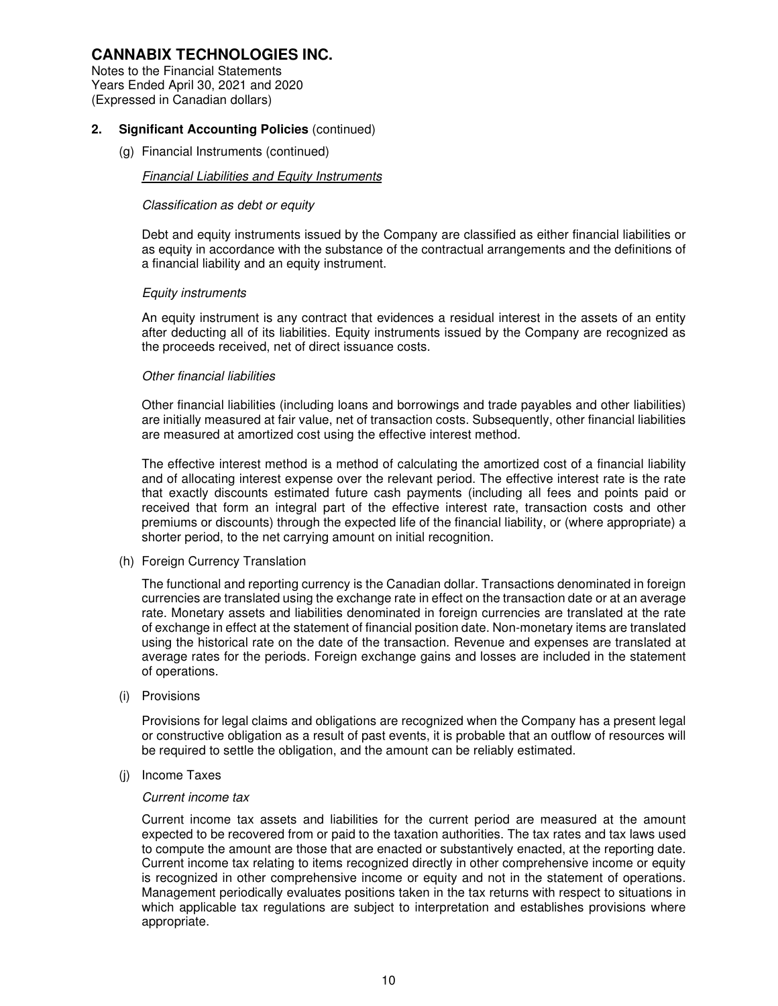Notes to the Financial Statements Years Ended April 30, 2021 and 2020 (Expressed in Canadian dollars)

### **2. Significant Accounting Policies** (continued)

(g) Financial Instruments (continued)

Financial Liabilities and Equity Instruments

### Classification as debt or equity

Debt and equity instruments issued by the Company are classified as either financial liabilities or as equity in accordance with the substance of the contractual arrangements and the definitions of a financial liability and an equity instrument.

### Equity instruments

An equity instrument is any contract that evidences a residual interest in the assets of an entity after deducting all of its liabilities. Equity instruments issued by the Company are recognized as the proceeds received, net of direct issuance costs.

### Other financial liabilities

Other financial liabilities (including loans and borrowings and trade payables and other liabilities) are initially measured at fair value, net of transaction costs. Subsequently, other financial liabilities are measured at amortized cost using the effective interest method.

The effective interest method is a method of calculating the amortized cost of a financial liability and of allocating interest expense over the relevant period. The effective interest rate is the rate that exactly discounts estimated future cash payments (including all fees and points paid or received that form an integral part of the effective interest rate, transaction costs and other premiums or discounts) through the expected life of the financial liability, or (where appropriate) a shorter period, to the net carrying amount on initial recognition.

(h) Foreign Currency Translation

The functional and reporting currency is the Canadian dollar. Transactions denominated in foreign currencies are translated using the exchange rate in effect on the transaction date or at an average rate. Monetary assets and liabilities denominated in foreign currencies are translated at the rate of exchange in effect at the statement of financial position date. Non-monetary items are translated using the historical rate on the date of the transaction. Revenue and expenses are translated at average rates for the periods. Foreign exchange gains and losses are included in the statement of operations.

(i) Provisions

Provisions for legal claims and obligations are recognized when the Company has a present legal or constructive obligation as a result of past events, it is probable that an outflow of resources will be required to settle the obligation, and the amount can be reliably estimated.

(j) Income Taxes

#### Current income tax

Current income tax assets and liabilities for the current period are measured at the amount expected to be recovered from or paid to the taxation authorities. The tax rates and tax laws used to compute the amount are those that are enacted or substantively enacted, at the reporting date. Current income tax relating to items recognized directly in other comprehensive income or equity is recognized in other comprehensive income or equity and not in the statement of operations. Management periodically evaluates positions taken in the tax returns with respect to situations in which applicable tax regulations are subject to interpretation and establishes provisions where appropriate.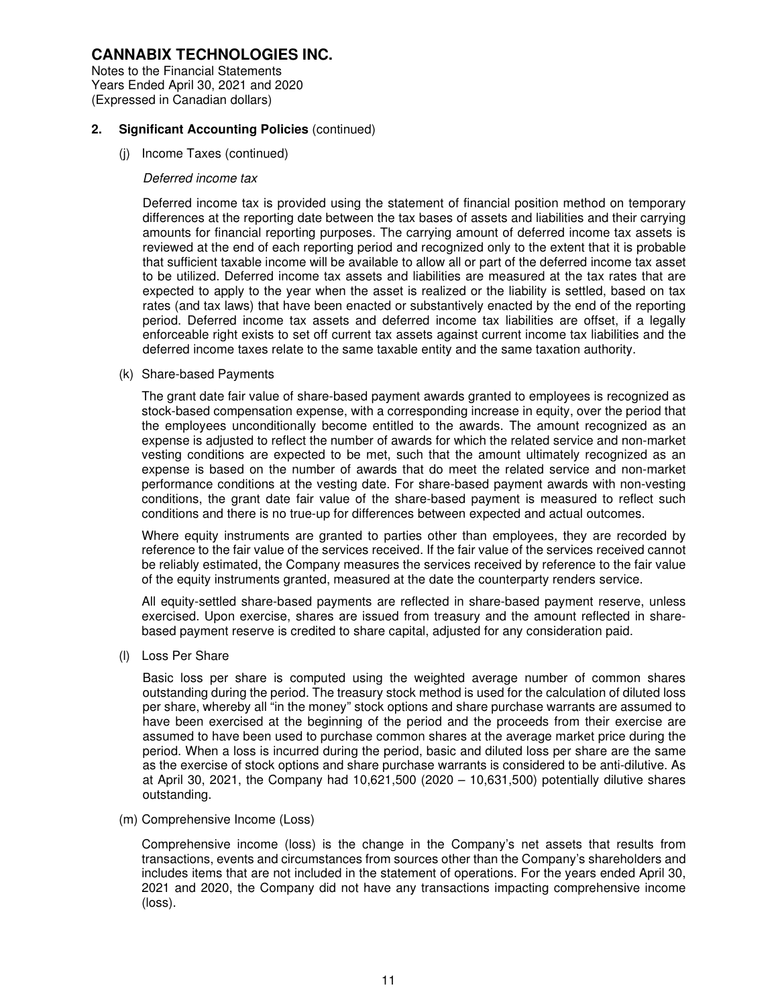Notes to the Financial Statements Years Ended April 30, 2021 and 2020 (Expressed in Canadian dollars)

### **2. Significant Accounting Policies** (continued)

(j) Income Taxes (continued)

### Deferred income tax

Deferred income tax is provided using the statement of financial position method on temporary differences at the reporting date between the tax bases of assets and liabilities and their carrying amounts for financial reporting purposes. The carrying amount of deferred income tax assets is reviewed at the end of each reporting period and recognized only to the extent that it is probable that sufficient taxable income will be available to allow all or part of the deferred income tax asset to be utilized. Deferred income tax assets and liabilities are measured at the tax rates that are expected to apply to the year when the asset is realized or the liability is settled, based on tax rates (and tax laws) that have been enacted or substantively enacted by the end of the reporting period. Deferred income tax assets and deferred income tax liabilities are offset, if a legally enforceable right exists to set off current tax assets against current income tax liabilities and the deferred income taxes relate to the same taxable entity and the same taxation authority.

(k) Share-based Payments

The grant date fair value of share-based payment awards granted to employees is recognized as stock-based compensation expense, with a corresponding increase in equity, over the period that the employees unconditionally become entitled to the awards. The amount recognized as an expense is adjusted to reflect the number of awards for which the related service and non-market vesting conditions are expected to be met, such that the amount ultimately recognized as an expense is based on the number of awards that do meet the related service and non-market performance conditions at the vesting date. For share-based payment awards with non-vesting conditions, the grant date fair value of the share-based payment is measured to reflect such conditions and there is no true-up for differences between expected and actual outcomes.

Where equity instruments are granted to parties other than employees, they are recorded by reference to the fair value of the services received. If the fair value of the services received cannot be reliably estimated, the Company measures the services received by reference to the fair value of the equity instruments granted, measured at the date the counterparty renders service.

All equity-settled share-based payments are reflected in share-based payment reserve, unless exercised. Upon exercise, shares are issued from treasury and the amount reflected in sharebased payment reserve is credited to share capital, adjusted for any consideration paid.

(l) Loss Per Share

Basic loss per share is computed using the weighted average number of common shares outstanding during the period. The treasury stock method is used for the calculation of diluted loss per share, whereby all "in the money" stock options and share purchase warrants are assumed to have been exercised at the beginning of the period and the proceeds from their exercise are assumed to have been used to purchase common shares at the average market price during the period. When a loss is incurred during the period, basic and diluted loss per share are the same as the exercise of stock options and share purchase warrants is considered to be anti-dilutive. As at April 30, 2021, the Company had 10,621,500 (2020 – 10,631,500) potentially dilutive shares outstanding.

(m) Comprehensive Income (Loss)

Comprehensive income (loss) is the change in the Company's net assets that results from transactions, events and circumstances from sources other than the Company's shareholders and includes items that are not included in the statement of operations. For the years ended April 30, 2021 and 2020, the Company did not have any transactions impacting comprehensive income (loss).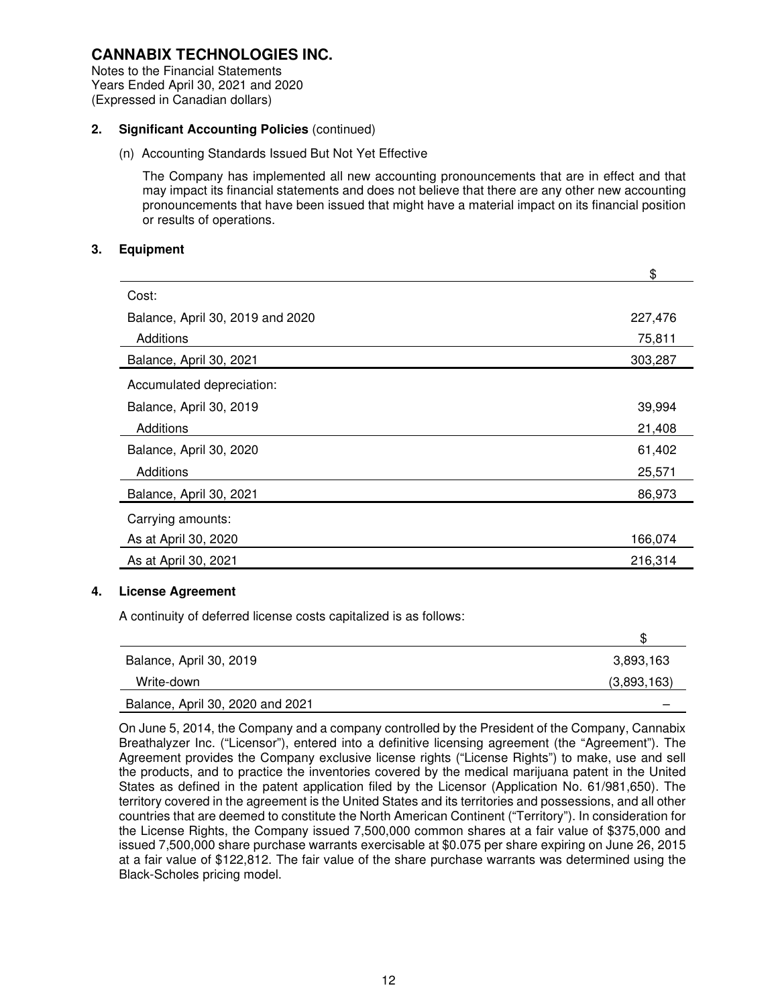Notes to the Financial Statements Years Ended April 30, 2021 and 2020 (Expressed in Canadian dollars)

### **2. Significant Accounting Policies** (continued)

(n) Accounting Standards Issued But Not Yet Effective

The Company has implemented all new accounting pronouncements that are in effect and that may impact its financial statements and does not believe that there are any other new accounting pronouncements that have been issued that might have a material impact on its financial position or results of operations.

### **3. Equipment**

|                                  | \$      |
|----------------------------------|---------|
| Cost:                            |         |
| Balance, April 30, 2019 and 2020 | 227,476 |
| Additions                        | 75,811  |
| Balance, April 30, 2021          | 303,287 |
| Accumulated depreciation:        |         |
| Balance, April 30, 2019          | 39,994  |
| Additions                        | 21,408  |
| Balance, April 30, 2020          | 61,402  |
| Additions                        | 25,571  |
| Balance, April 30, 2021          | 86,973  |
| Carrying amounts:                |         |
| As at April 30, 2020             | 166,074 |
| As at April 30, 2021             | 216,314 |

### **4. License Agreement**

A continuity of deferred license costs capitalized is as follows:

| Balance, April 30, 2019          | 3,893,163   |
|----------------------------------|-------------|
| Write-down                       | (3,893,163) |
| Balance, April 30, 2020 and 2021 |             |

On June 5, 2014, the Company and a company controlled by the President of the Company, Cannabix Breathalyzer Inc. ("Licensor"), entered into a definitive licensing agreement (the "Agreement"). The Agreement provides the Company exclusive license rights ("License Rights") to make, use and sell the products, and to practice the inventories covered by the medical marijuana patent in the United States as defined in the patent application filed by the Licensor (Application No. 61/981,650). The territory covered in the agreement is the United States and its territories and possessions, and all other countries that are deemed to constitute the North American Continent ("Territory"). In consideration for the License Rights, the Company issued 7,500,000 common shares at a fair value of \$375,000 and issued 7,500,000 share purchase warrants exercisable at \$0.075 per share expiring on June 26, 2015 at a fair value of \$122,812. The fair value of the share purchase warrants was determined using the Black-Scholes pricing model.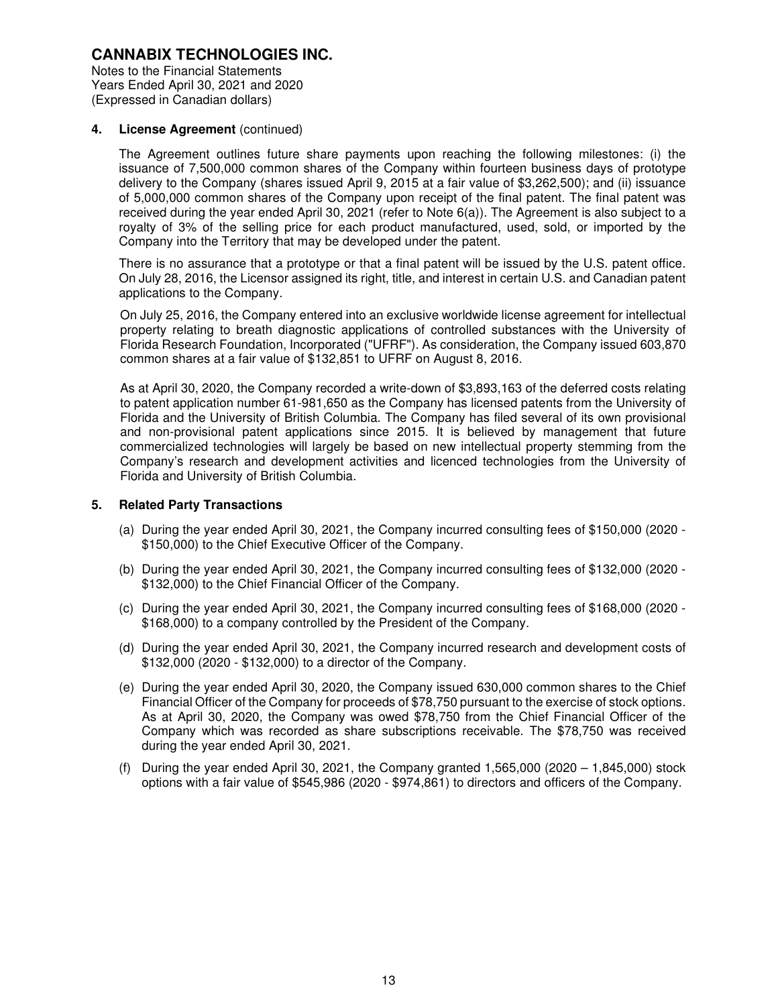Notes to the Financial Statements Years Ended April 30, 2021 and 2020 (Expressed in Canadian dollars)

### **4. License Agreement** (continued)

The Agreement outlines future share payments upon reaching the following milestones: (i) the issuance of 7,500,000 common shares of the Company within fourteen business days of prototype delivery to the Company (shares issued April 9, 2015 at a fair value of \$3,262,500); and (ii) issuance of 5,000,000 common shares of the Company upon receipt of the final patent. The final patent was received during the year ended April 30, 2021 (refer to Note 6(a)). The Agreement is also subject to a royalty of 3% of the selling price for each product manufactured, used, sold, or imported by the Company into the Territory that may be developed under the patent.

There is no assurance that a prototype or that a final patent will be issued by the U.S. patent office. On July 28, 2016, the Licensor assigned its right, title, and interest in certain U.S. and Canadian patent applications to the Company.

On July 25, 2016, the Company entered into an exclusive worldwide license agreement for intellectual property relating to breath diagnostic applications of controlled substances with the University of Florida Research Foundation, Incorporated ("UFRF"). As consideration, the Company issued 603,870 common shares at a fair value of \$132,851 to UFRF on August 8, 2016.

As at April 30, 2020, the Company recorded a write-down of \$3,893,163 of the deferred costs relating to patent application number 61-981,650 as the Company has licensed patents from the University of Florida and the University of British Columbia. The Company has filed several of its own provisional and non-provisional patent applications since 2015. It is believed by management that future commercialized technologies will largely be based on new intellectual property stemming from the Company's research and development activities and licenced technologies from the University of Florida and University of British Columbia.

### **5. Related Party Transactions**

- (a) During the year ended April 30, 2021, the Company incurred consulting fees of \$150,000 (2020 \$150,000) to the Chief Executive Officer of the Company.
- (b) During the year ended April 30, 2021, the Company incurred consulting fees of \$132,000 (2020 \$132,000) to the Chief Financial Officer of the Company.
- (c) During the year ended April 30, 2021, the Company incurred consulting fees of \$168,000 (2020 \$168,000) to a company controlled by the President of the Company.
- (d) During the year ended April 30, 2021, the Company incurred research and development costs of \$132,000 (2020 - \$132,000) to a director of the Company.
- (e) During the year ended April 30, 2020, the Company issued 630,000 common shares to the Chief Financial Officer of the Company for proceeds of \$78,750 pursuant to the exercise of stock options. As at April 30, 2020, the Company was owed \$78,750 from the Chief Financial Officer of the Company which was recorded as share subscriptions receivable. The \$78,750 was received during the year ended April 30, 2021.
- (f) During the year ended April 30, 2021, the Company granted  $1,565,000$  (2020 1,845,000) stock options with a fair value of \$545,986 (2020 - \$974,861) to directors and officers of the Company.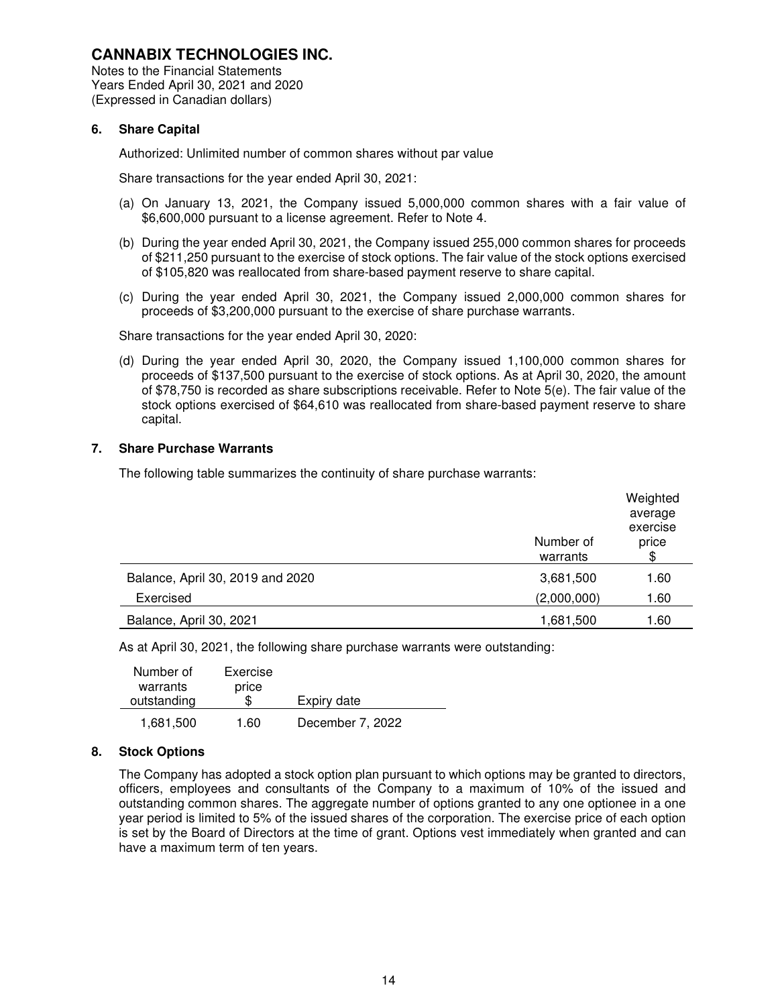Notes to the Financial Statements Years Ended April 30, 2021 and 2020 (Expressed in Canadian dollars)

### **6. Share Capital**

Authorized: Unlimited number of common shares without par value

Share transactions for the year ended April 30, 2021:

- (a) On January 13, 2021, the Company issued 5,000,000 common shares with a fair value of \$6,600,000 pursuant to a license agreement. Refer to Note 4.
- (b) During the year ended April 30, 2021, the Company issued 255,000 common shares for proceeds of \$211,250 pursuant to the exercise of stock options. The fair value of the stock options exercised of \$105,820 was reallocated from share-based payment reserve to share capital.
- (c) During the year ended April 30, 2021, the Company issued 2,000,000 common shares for proceeds of \$3,200,000 pursuant to the exercise of share purchase warrants.

Share transactions for the year ended April 30, 2020:

(d) During the year ended April 30, 2020, the Company issued 1,100,000 common shares for proceeds of \$137,500 pursuant to the exercise of stock options. As at April 30, 2020, the amount of \$78,750 is recorded as share subscriptions receivable. Refer to Note 5(e). The fair value of the stock options exercised of \$64,610 was reallocated from share-based payment reserve to share capital.

### **7. Share Purchase Warrants**

The following table summarizes the continuity of share purchase warrants:

|                                  | Number of<br>warrants | Weighted<br>average<br>exercise<br>price<br>\$ |
|----------------------------------|-----------------------|------------------------------------------------|
| Balance, April 30, 2019 and 2020 | 3,681,500             | 1.60                                           |
| Exercised                        | (2,000,000)           | 1.60                                           |
| Balance, April 30, 2021          | 1,681,500             | 1.60                                           |

As at April 30, 2021, the following share purchase warrants were outstanding:

| Number of<br>warrants | Exercise<br>price |                  |
|-----------------------|-------------------|------------------|
| outstanding           |                   | Expiry date      |
| 1,681,500             | 1.60              | December 7, 2022 |

#### **8. Stock Options**

The Company has adopted a stock option plan pursuant to which options may be granted to directors, officers, employees and consultants of the Company to a maximum of 10% of the issued and outstanding common shares. The aggregate number of options granted to any one optionee in a one year period is limited to 5% of the issued shares of the corporation. The exercise price of each option is set by the Board of Directors at the time of grant. Options vest immediately when granted and can have a maximum term of ten years.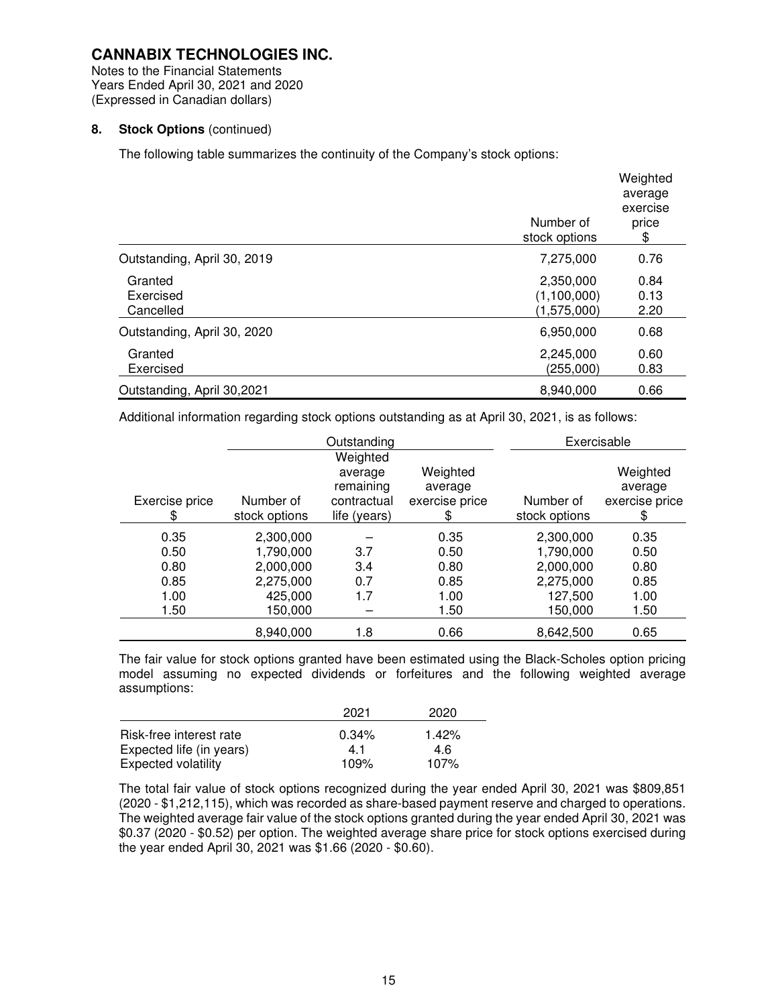Notes to the Financial Statements Years Ended April 30, 2021 and 2020 (Expressed in Canadian dollars)

### 8. Stock Options (continued)

The following table summarizes the continuity of the Company's stock options:

|                                   | Number of<br>stock options              | Weighted<br>average<br>exercise<br>price<br>\$ |
|-----------------------------------|-----------------------------------------|------------------------------------------------|
| Outstanding, April 30, 2019       | 7,275,000                               | 0.76                                           |
| Granted<br>Exercised<br>Cancelled | 2,350,000<br>(1,100,000)<br>(1,575,000) | 0.84<br>0.13<br>2.20                           |
| Outstanding, April 30, 2020       | 6,950,000                               | 0.68                                           |
| Granted<br>Exercised              | 2,245,000<br>(255,000)                  | 0.60<br>0.83                                   |
| Outstanding, April 30,2021        | 8,940,000                               | 0.66                                           |

Additional information regarding stock options outstanding as at April 30, 2021, is as follows:

|                      |                            | Outstanding                                                     |                                             |                            | Exercisable                                 |
|----------------------|----------------------------|-----------------------------------------------------------------|---------------------------------------------|----------------------------|---------------------------------------------|
| Exercise price<br>\$ | Number of<br>stock options | Weighted<br>average<br>remaining<br>contractual<br>life (years) | Weighted<br>average<br>exercise price<br>\$ | Number of<br>stock options | Weighted<br>average<br>exercise price<br>\$ |
| 0.35                 | 2,300,000                  |                                                                 | 0.35                                        | 2,300,000                  | 0.35                                        |
| 0.50                 | 1,790,000                  | 3.7                                                             | 0.50                                        | 1,790,000                  | 0.50                                        |
| 0.80                 | 2,000,000                  | 3.4                                                             | 0.80                                        | 2,000,000                  | 0.80                                        |
| 0.85                 | 2,275,000                  | 0.7                                                             | 0.85                                        | 2,275,000                  | 0.85                                        |
| 1.00                 | 425,000                    | 1.7                                                             | 1.00                                        | 127,500                    | 1.00                                        |
| 1.50                 | 150,000                    |                                                                 | 1.50                                        | 150,000                    | 1.50                                        |
|                      | 8,940,000                  | 1.8                                                             | 0.66                                        | 8,642,500                  | 0.65                                        |

The fair value for stock options granted have been estimated using the Black-Scholes option pricing model assuming no expected dividends or forfeitures and the following weighted average assumptions:

|                            | 2021     | 2020     |
|----------------------------|----------|----------|
| Risk-free interest rate    | $0.34\%$ | $1.42\%$ |
| Expected life (in years)   | 4.1      | 4.6      |
| <b>Expected volatility</b> | 109%     | 107%     |

The total fair value of stock options recognized during the year ended April 30, 2021 was \$809,851 (2020 - \$1,212,115), which was recorded as share-based payment reserve and charged to operations. The weighted average fair value of the stock options granted during the year ended April 30, 2021 was \$0.37 (2020 - \$0.52) per option. The weighted average share price for stock options exercised during the year ended April 30, 2021 was \$1.66 (2020 - \$0.60).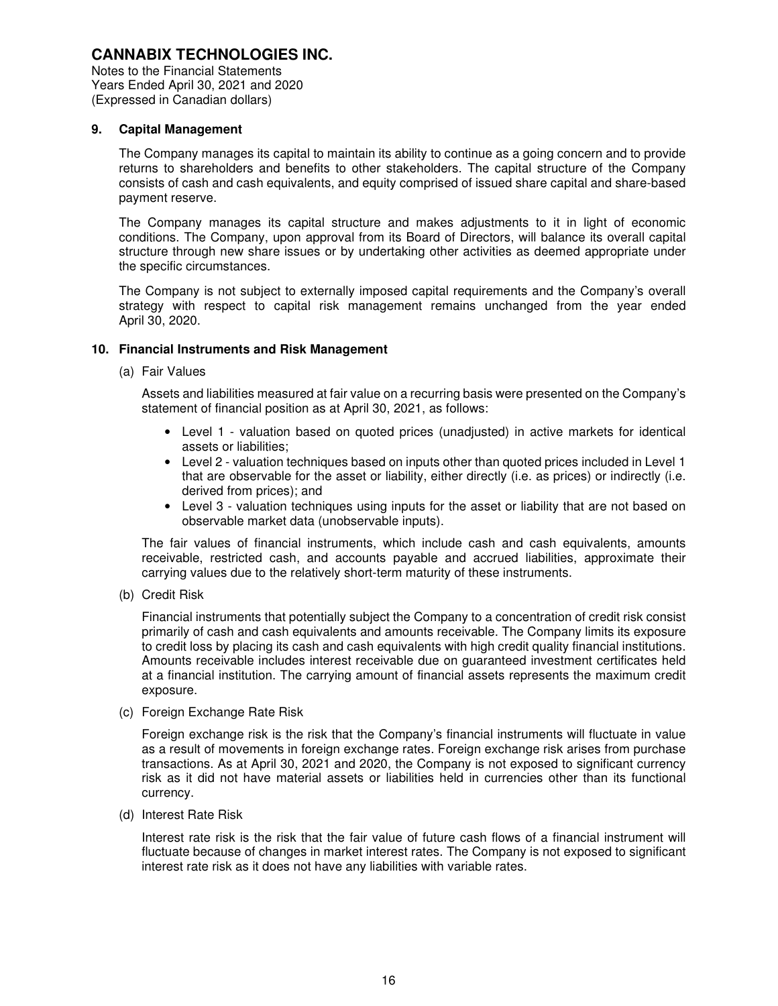Notes to the Financial Statements Years Ended April 30, 2021 and 2020 (Expressed in Canadian dollars)

### **9. Capital Management**

The Company manages its capital to maintain its ability to continue as a going concern and to provide returns to shareholders and benefits to other stakeholders. The capital structure of the Company consists of cash and cash equivalents, and equity comprised of issued share capital and share-based payment reserve.

The Company manages its capital structure and makes adjustments to it in light of economic conditions. The Company, upon approval from its Board of Directors, will balance its overall capital structure through new share issues or by undertaking other activities as deemed appropriate under the specific circumstances.

The Company is not subject to externally imposed capital requirements and the Company's overall strategy with respect to capital risk management remains unchanged from the year ended April 30, 2020.

### **10. Financial Instruments and Risk Management**

(a) Fair Values

Assets and liabilities measured at fair value on a recurring basis were presented on the Company's statement of financial position as at April 30, 2021, as follows:

- Level 1 valuation based on quoted prices (unadjusted) in active markets for identical assets or liabilities;
- Level 2 valuation techniques based on inputs other than quoted prices included in Level 1 that are observable for the asset or liability, either directly (i.e. as prices) or indirectly (i.e. derived from prices); and
- Level 3 valuation techniques using inputs for the asset or liability that are not based on observable market data (unobservable inputs).

The fair values of financial instruments, which include cash and cash equivalents, amounts receivable, restricted cash, and accounts payable and accrued liabilities, approximate their carrying values due to the relatively short-term maturity of these instruments.

(b) Credit Risk

Financial instruments that potentially subject the Company to a concentration of credit risk consist primarily of cash and cash equivalents and amounts receivable. The Company limits its exposure to credit loss by placing its cash and cash equivalents with high credit quality financial institutions. Amounts receivable includes interest receivable due on guaranteed investment certificates held at a financial institution. The carrying amount of financial assets represents the maximum credit exposure.

(c) Foreign Exchange Rate Risk

Foreign exchange risk is the risk that the Company's financial instruments will fluctuate in value as a result of movements in foreign exchange rates. Foreign exchange risk arises from purchase transactions. As at April 30, 2021 and 2020, the Company is not exposed to significant currency risk as it did not have material assets or liabilities held in currencies other than its functional currency.

(d) Interest Rate Risk

Interest rate risk is the risk that the fair value of future cash flows of a financial instrument will fluctuate because of changes in market interest rates. The Company is not exposed to significant interest rate risk as it does not have any liabilities with variable rates.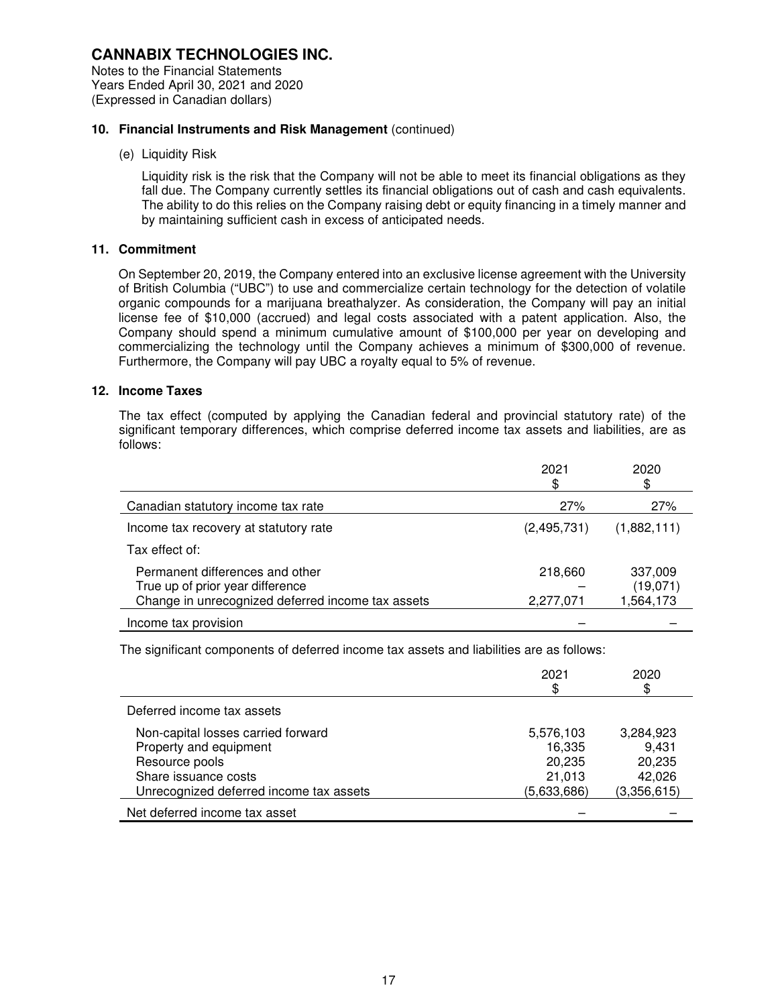Notes to the Financial Statements Years Ended April 30, 2021 and 2020 (Expressed in Canadian dollars)

### **10. Financial Instruments and Risk Management** (continued)

(e) Liquidity Risk

Liquidity risk is the risk that the Company will not be able to meet its financial obligations as they fall due. The Company currently settles its financial obligations out of cash and cash equivalents. The ability to do this relies on the Company raising debt or equity financing in a timely manner and by maintaining sufficient cash in excess of anticipated needs.

### **11. Commitment**

On September 20, 2019, the Company entered into an exclusive license agreement with the University of British Columbia ("UBC") to use and commercialize certain technology for the detection of volatile organic compounds for a marijuana breathalyzer. As consideration, the Company will pay an initial license fee of \$10,000 (accrued) and legal costs associated with a patent application. Also, the Company should spend a minimum cumulative amount of \$100,000 per year on developing and commercializing the technology until the Company achieves a minimum of \$300,000 of revenue. Furthermore, the Company will pay UBC a royalty equal to 5% of revenue.

### **12. Income Taxes**

The tax effect (computed by applying the Canadian federal and provincial statutory rate) of the significant temporary differences, which comprise deferred income tax assets and liabilities, are as follows:

|                                                                                                                          | $202 -$<br>S         | 2020<br>\$                       |
|--------------------------------------------------------------------------------------------------------------------------|----------------------|----------------------------------|
| Canadian statutory income tax rate                                                                                       | 27%                  | 27%                              |
| Income tax recovery at statutory rate                                                                                    | (2,495,731)          | (1,882,111)                      |
| Tax effect of:                                                                                                           |                      |                                  |
| Permanent differences and other<br>True up of prior year difference<br>Change in unrecognized deferred income tax assets | 218,660<br>2,277,071 | 337,009<br>(19,071)<br>1,564,173 |
| Income tax provision                                                                                                     |                      |                                  |

The significant components of deferred income tax assets and liabilities are as follows:

|                                         | 2021        | 2020        |
|-----------------------------------------|-------------|-------------|
| Deferred income tax assets              |             |             |
| Non-capital losses carried forward      | 5,576,103   | 3,284,923   |
| Property and equipment                  | 16,335      | 9,431       |
| Resource pools                          | 20,235      | 20,235      |
| Share issuance costs                    | 21,013      | 42,026      |
| Unrecognized deferred income tax assets | (5,633,686) | (3,356,615) |
| Net deferred income tax asset           |             |             |